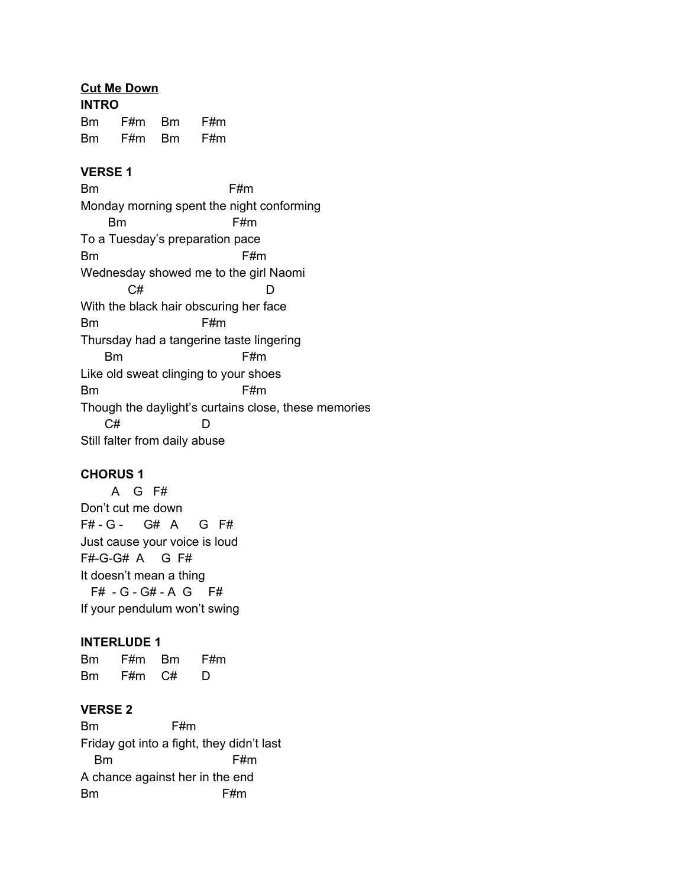## **Cut Me Down**

**INTRO** Bm F#m Bm F#m Bm F#m Bm F#m

#### **VERSE 1**

Bm F#m Monday morning spent the night conforming Bm F#m To a Tuesday's preparation pace Bm F#m Wednesday showed me to the girl Naomi C# D With the black hair obscuring her face Bm F#m Thursday had a tangerine taste lingering Bm F#m Like old sweat clinging to your shoes Bm F#m Though the daylight's curtains close, these memories C# D Still falter from daily abuse

## **CHORUS 1**

A G F# Don't cut me down F# - G - G# A G F# Just cause your voice is loud F#-G-G# A G F# It doesn't mean a thing F# - G - G# - A G F# If your pendulum won't swing

## **INTERLUDE 1**

Bm F#m Bm F#m Bm F#m C# D

## **VERSE 2**

Bm F#m Friday got into a fight, they didn't last Bm F#m A chance against her in the end Bm F#m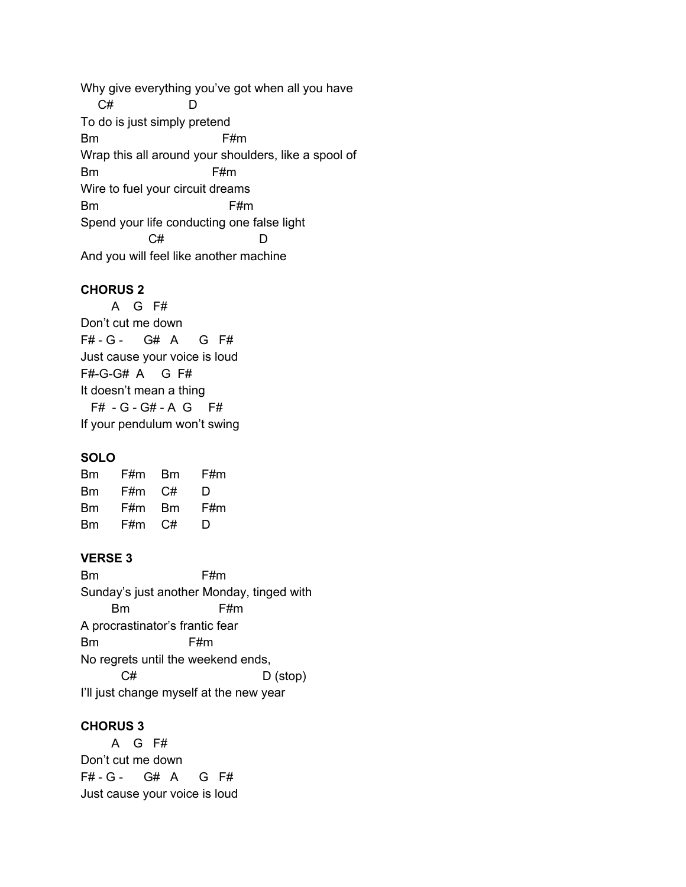Why give everything you've got when all you have C# D To do is just simply pretend Bm F#m Wrap this all around your shoulders, like a spool of Bm F#m Wire to fuel your circuit dreams Bm F#m Spend your life conducting one false light C# D And you will feel like another machine

## **CHORUS 2**

A G F# Don't cut me down F# - G - G# A G F# Just cause your voice is loud F#-G-G# A G F# It doesn't mean a thing F# - G - G# - A G F# If your pendulum won't swing

## **SOLO**

| Bm        | F#m | Bm | F#m |
|-----------|-----|----|-----|
| <b>Bm</b> | F#m | C# | D   |
| <b>Bm</b> | F#m | Вm | F#m |
| <b>Bm</b> | F#m | C# | D   |

## **VERSE 3**

Bm F#m Sunday's just another Monday, tinged with Bm F#m A procrastinator's frantic fear Bm F#m No regrets until the weekend ends, C# D (stop) I'll just change myself at the new year

# **CHORUS 3**

A G F# Don't cut me down F# - G - G# A G F# Just cause your voice is loud